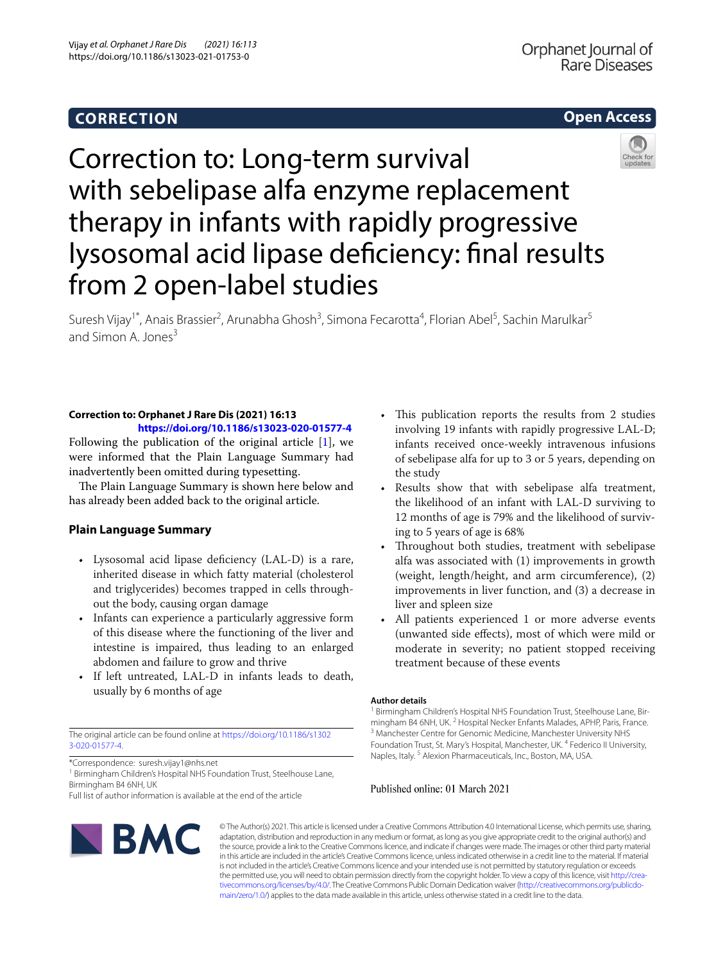# **CORRECTION**

# **Open Access**



Correction to: Long-term survival with sebelipase alfa enzyme replacement therapy in infants with rapidly progressive lysosomal acid lipase defciency: fnal results from 2 open-label studies

Suresh Vijay<sup>1\*</sup>, Anais Brassier<sup>2</sup>, Arunabha Ghosh<sup>3</sup>, Simona Fecarotta<sup>4</sup>, Florian Abel<sup>5</sup>, Sachin Marulkar<sup>5</sup> and Simon A. Jones $3$ 

#### **Correction to: Orphanet J Rare Dis (2021) 16:13 <https://doi.org/10.1186/s13023-020-01577-4>**

Following the publication of the original article [[1\]](#page-1-0), we were informed that the Plain Language Summary had inadvertently been omitted during typesetting.

The Plain Language Summary is shown here below and has already been added back to the original article.

## **Plain Language Summary**

- Lysosomal acid lipase deficiency (LAL-D) is a rare, inherited disease in which fatty material (cholesterol and triglycerides) becomes trapped in cells throughout the body, causing organ damage
- Infants can experience a particularly aggressive form of this disease where the functioning of the liver and intestine is impaired, thus leading to an enlarged abdomen and failure to grow and thrive
- If left untreated, LAL-D in infants leads to death, usually by 6 months of age

The original article can be found online at [https://doi.org/10.1186/s1302](https://doi.org/10.1186/s13023-020-01577-4) [3-020-01577-4.](https://doi.org/10.1186/s13023-020-01577-4)

\*Correspondence: suresh.vijay1@nhs.net

<sup>1</sup> Birmingham Children's Hospital NHS Foundation Trust, Steelhouse Lane, Birmingham B4 6NH, UK

Full list of author information is available at the end of the article

- This publication reports the results from 2 studies involving 19 infants with rapidly progressive LAL-D; infants received once-weekly intravenous infusions of sebelipase alfa for up to 3 or 5 years, depending on the study
- Results show that with sebelipase alfa treatment, the likelihood of an infant with LAL-D surviving to 12 months of age is 79% and the likelihood of surviving to 5 years of age is 68%
- Throughout both studies, treatment with sebelipase alfa was associated with (1) improvements in growth (weight, length/height, and arm circumference), (2) improvements in liver function, and (3) a decrease in liver and spleen size
- All patients experienced 1 or more adverse events (unwanted side efects), most of which were mild or moderate in severity; no patient stopped receiving treatment because of these events

#### **Author details**

<sup>1</sup> Birmingham Children's Hospital NHS Foundation Trust, Steelhouse Lane, Birmingham B4 6NH, UK. <sup>2</sup> Hospital Necker Enfants Malades, APHP, Paris, France.<br><sup>3</sup> Manchester Centre for Genomic Medicine, Manchester University NHS Foundation Trust, St. Mary's Hospital, Manchester, UK. <sup>4</sup> Federico II University, Naples, Italy. 5 Alexion Pharmaceuticals, Inc., Boston, MA, USA.

### Published online: 01 March 2021



© The Author(s) 2021. This article is licensed under a Creative Commons Attribution 4.0 International License, which permits use, sharing, adaptation, distribution and reproduction in any medium or format, as long as you give appropriate credit to the original author(s) and the source, provide a link to the Creative Commons licence, and indicate if changes were made. The images or other third party material in this article are included in the article's Creative Commons licence, unless indicated otherwise in a credit line to the material. If material is not included in the article's Creative Commons licence and your intended use is not permitted by statutory regulation or exceeds the permitted use, you will need to obtain permission directly from the copyright holder. To view a copy of this licence, visit [http://crea](http://creativecommons.org/licenses/by/4.0/)[tivecommons.org/licenses/by/4.0/.](http://creativecommons.org/licenses/by/4.0/) The Creative Commons Public Domain Dedication waiver ([http://creativecommons.org/publicdo](http://creativecommons.org/publicdomain/zero/1.0/)[main/zero/1.0/\)](http://creativecommons.org/publicdomain/zero/1.0/) applies to the data made available in this article, unless otherwise stated in a credit line to the data.